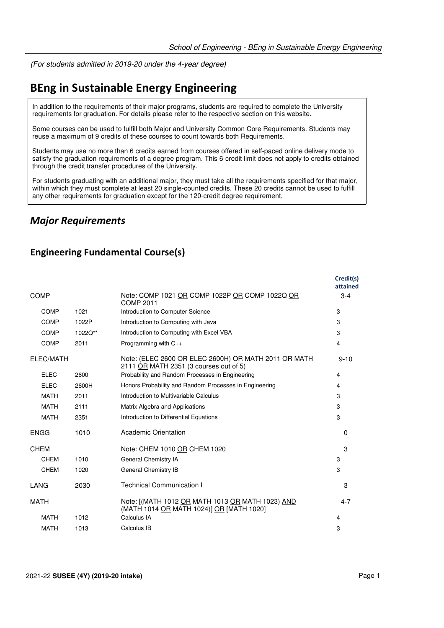(For students admitted in 2019-20 under the 4-year degree)

# **BEng in Sustainable Energy Engineering**

In addition to the requirements of their major programs, students are required to complete the University requirements for graduation. For details please refer to the respective section on this website.

Some courses can be used to fulfill both Major and University Common Core Requirements. Students may reuse a maximum of 9 credits of these courses to count towards both Requirements.

Students may use no more than 6 credits earned from courses offered in self-paced online delivery mode to satisfy the graduation requirements of a degree program. This 6-credit limit does not apply to credits obtained through the credit transfer procedures of the University.

For students graduating with an additional major, they must take all the requirements specified for that major, within which they must complete at least 20 single-counted credits. These 20 credits cannot be used to fulfill any other requirements for graduation except for the 120-credit degree requirement.

#### *Major Requirements*

#### **Engineering Fundamental Course(s)**

|             |         |                                                                                                | Credit(s)<br>attained |
|-------------|---------|------------------------------------------------------------------------------------------------|-----------------------|
| <b>COMP</b> |         | Note: COMP 1021 OR COMP 1022P OR COMP 1022Q OR<br><b>COMP 2011</b>                             | $3-4$                 |
| <b>COMP</b> | 1021    | Introduction to Computer Science                                                               | 3                     |
| <b>COMP</b> | 1022P   | Introduction to Computing with Java                                                            | 3                     |
| <b>COMP</b> | 1022Q** | Introduction to Computing with Excel VBA                                                       | 3                     |
| <b>COMP</b> | 2011    | Programming with C++                                                                           | 4                     |
| ELEC/MATH   |         | Note: (ELEC 2600 OR ELEC 2600H) OR MATH 2011 OR MATH<br>2111 OR MATH 2351 (3 courses out of 5) | $9 - 10$              |
| <b>ELEC</b> | 2600    | Probability and Random Processes in Engineering                                                | 4                     |
| <b>ELEC</b> | 2600H   | Honors Probability and Random Processes in Engineering                                         | 4                     |
| <b>MATH</b> | 2011    | Introduction to Multivariable Calculus                                                         | 3                     |
| <b>MATH</b> | 2111    | Matrix Algebra and Applications                                                                | 3                     |
| <b>MATH</b> | 2351    | Introduction to Differential Equations                                                         | 3                     |
| <b>ENGG</b> | 1010    | Academic Orientation                                                                           | $\Omega$              |
| <b>CHEM</b> |         | Note: CHEM 1010 OR CHEM 1020                                                                   | 3                     |
| <b>CHEM</b> | 1010    | General Chemistry IA                                                                           | 3                     |
| <b>CHEM</b> | 1020    | General Chemistry IB                                                                           | 3                     |
| <b>LANG</b> | 2030    | <b>Technical Communication I</b>                                                               | 3                     |
| <b>MATH</b> |         | Note: [(MATH 1012 OR MATH 1013 OR MATH 1023) AND<br>(MATH 1014 OR MATH 1024)] OR [MATH 1020]   | $4 - 7$               |
| <b>MATH</b> | 1012    | Calculus IA                                                                                    | 4                     |
| <b>MATH</b> | 1013    | Calculus IB                                                                                    | 3                     |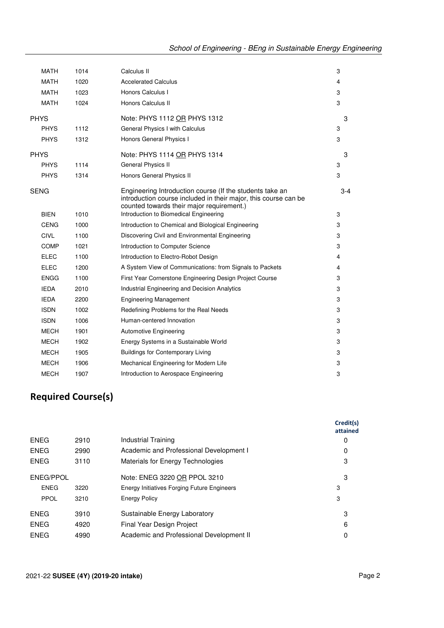### **Required Course(s)**

|             |      |                                                    | Credit(s)<br>attained |
|-------------|------|----------------------------------------------------|-----------------------|
| ENEG        | 2910 | Industrial Training                                | 0                     |
| <b>ENEG</b> | 2990 | Academic and Professional Development I            | 0                     |
| ENEG        | 3110 | Materials for Energy Technologies                  | 3                     |
| ENEG/PPOL   |      | Note: ENEG 3220 OR PPOL 3210                       | 3                     |
| <b>ENEG</b> | 3220 | <b>Energy Initiatives Forging Future Engineers</b> | 3                     |
| PPOL        | 3210 | <b>Energy Policy</b>                               | 3                     |
| ENEG        | 3910 | Sustainable Energy Laboratory                      | 3                     |
| ENEG        | 4920 | Final Year Design Project                          | 6                     |
| ENEG        | 4990 | Academic and Professional Development II           | 0                     |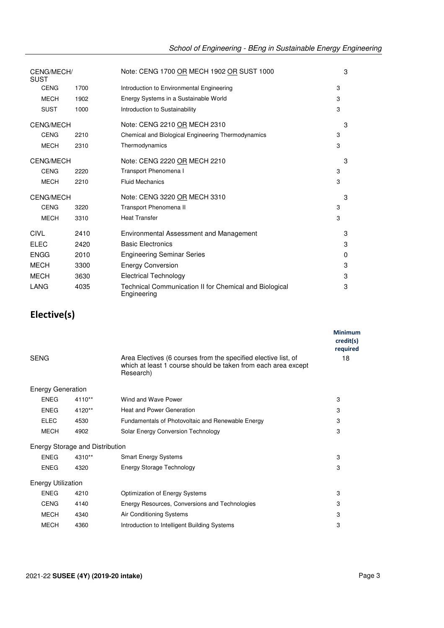| CENG/MECH/<br><b>SUST</b> |      | Note: CENG 1700 OR MECH 1902 OR SUST 1000                             | 3 |
|---------------------------|------|-----------------------------------------------------------------------|---|
| <b>CENG</b>               | 1700 | Introduction to Environmental Engineering                             | 3 |
| <b>MECH</b>               | 1902 | Energy Systems in a Sustainable World                                 | 3 |
| <b>SUST</b>               | 1000 | Introduction to Sustainability                                        | 3 |
| <b>CENG/MECH</b>          |      | Note: CENG 2210 OR MECH 2310                                          | 3 |
| <b>CENG</b>               | 2210 | Chemical and Biological Engineering Thermodynamics                    | 3 |
| <b>MECH</b>               | 2310 | Thermodynamics                                                        | 3 |
| <b>CENG/MECH</b>          |      | Note: CENG 2220 OR MECH 2210                                          | 3 |
| <b>CENG</b>               | 2220 | Transport Phenomena I                                                 | 3 |
| <b>MECH</b>               | 2210 | <b>Fluid Mechanics</b>                                                | 3 |
| <b>CENG/MECH</b>          |      | Note: CENG 3220 OR MECH 3310                                          | 3 |
| <b>CENG</b>               | 3220 | Transport Phenomena II                                                | 3 |
| <b>MECH</b>               | 3310 | <b>Heat Transfer</b>                                                  | 3 |
| <b>CIVL</b>               | 2410 | Environmental Assessment and Management                               | 3 |
| <b>ELEC</b>               | 2420 | <b>Basic Electronics</b>                                              | 3 |
| <b>ENGG</b>               | 2010 | <b>Engineering Seminar Series</b>                                     | 0 |
| <b>MECH</b>               | 3300 | <b>Energy Conversion</b>                                              | 3 |
| <b>MECH</b>               | 3630 | <b>Electrical Technology</b>                                          | 3 |
| LANG                      | 4035 | Technical Communication II for Chemical and Biological<br>Engineering | 3 |

## **Elective(s)**

|                                        |        |                                                                                                                                              | <b>Minimum</b><br>credit(s)<br>required |
|----------------------------------------|--------|----------------------------------------------------------------------------------------------------------------------------------------------|-----------------------------------------|
| <b>SENG</b>                            |        | Area Electives (6 courses from the specified elective list, of<br>which at least 1 course should be taken from each area except<br>Research) | 18                                      |
| <b>Energy Generation</b>               |        |                                                                                                                                              |                                         |
| <b>ENEG</b>                            | 4110** | Wind and Wave Power                                                                                                                          | 3                                       |
| <b>ENEG</b>                            | 4120** | <b>Heat and Power Generation</b>                                                                                                             | 3                                       |
| <b>ELEC</b>                            | 4530   | Fundamentals of Photovoltaic and Renewable Energy                                                                                            | 3                                       |
| <b>MECH</b>                            | 4902   | Solar Energy Conversion Technology                                                                                                           | 3                                       |
| <b>Energy Storage and Distribution</b> |        |                                                                                                                                              |                                         |
| <b>ENEG</b>                            | 4310** | <b>Smart Energy Systems</b>                                                                                                                  | 3                                       |
| <b>ENEG</b>                            | 4320   | Energy Storage Technology                                                                                                                    | 3                                       |
| <b>Energy Utilization</b>              |        |                                                                                                                                              |                                         |
| <b>ENEG</b>                            | 4210   | Optimization of Energy Systems                                                                                                               | 3                                       |
| <b>CENG</b>                            | 4140   | Energy Resources, Conversions and Technologies                                                                                               | 3                                       |
| <b>MECH</b>                            | 4340   | Air Conditioning Systems                                                                                                                     | 3                                       |
| <b>MECH</b>                            | 4360   | Introduction to Intelligent Building Systems                                                                                                 | 3                                       |